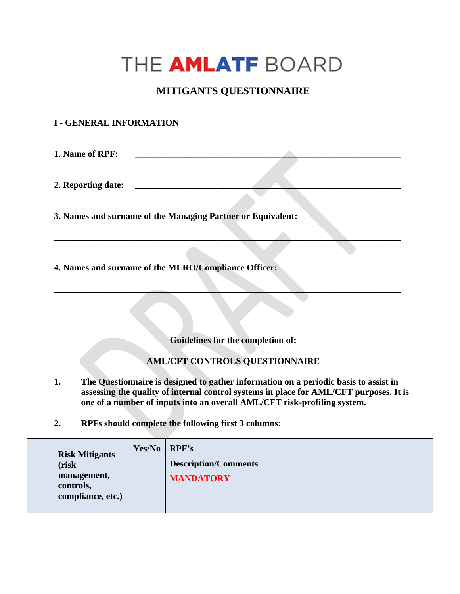## THE **AMLATF** BOARD

## **MITIGANTS QUESTIONNAIRE**

## **I - GENERAL INFORMATION**

**1. Name of RPF:** 

2. Reporting date:

**3. Names and surname of the Managing Partner or Equivalent:** 

**4. Names and surname of the MLRO/Compliance Officer:** 

**Guidelines for the completion of:**

**\_\_\_\_\_\_\_\_\_\_\_\_\_\_\_\_\_\_\_\_\_\_\_\_\_\_\_\_\_\_\_\_\_\_\_\_\_\_\_\_\_\_\_\_\_\_\_\_\_\_\_\_\_\_\_\_\_\_\_\_\_\_\_\_\_\_\_\_\_\_\_\_\_\_\_\_\_**

**\_\_\_\_\_\_\_\_\_\_\_\_\_\_\_\_\_\_\_\_\_\_\_\_\_\_\_\_\_\_\_\_\_\_\_\_\_\_\_\_\_\_\_\_\_\_\_\_\_\_\_\_\_\_\_\_\_\_\_\_\_\_\_\_\_\_\_\_\_\_\_\_\_\_\_\_\_**

## **AML/CFT CONTROLS QUESTIONNAIRE**

- **1. The Questionnaire is designed to gather information on a periodic basis to assist in assessing the quality of internal control systems in place for AML/CFT purposes. It is one of a number of inputs into an overall AML/CFT risk-profiling system.**
- **2. RPFs should complete the following first 3 columns:**

| Yes/No<br><b>Risk Mitigants</b><br>(risk<br>management,<br>controls,<br>compliance, etc.) |  | RPF's<br><b>Description/Comments</b><br><b>MANDATORY</b> |
|-------------------------------------------------------------------------------------------|--|----------------------------------------------------------|
|-------------------------------------------------------------------------------------------|--|----------------------------------------------------------|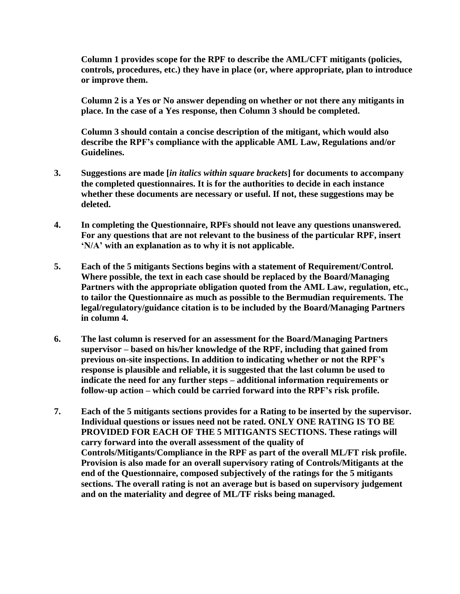**Column 1 provides scope for the RPF to describe the AML/CFT mitigants (policies, controls, procedures, etc.) they have in place (or, where appropriate, plan to introduce or improve them.** 

**Column 2 is a Yes or No answer depending on whether or not there any mitigants in place. In the case of a Yes response, then Column 3 should be completed.**

**Column 3 should contain a concise description of the mitigant, which would also describe the RPF's compliance with the applicable AML Law, Regulations and/or Guidelines.** 

- **3. Suggestions are made [***in italics within square brackets***] for documents to accompany the completed questionnaires. It is for the authorities to decide in each instance whether these documents are necessary or useful. If not, these suggestions may be deleted.**
- **4. In completing the Questionnaire, RPFs should not leave any questions unanswered. For any questions that are not relevant to the business of the particular RPF, insert 'N/A' with an explanation as to why it is not applicable.**
- **5. Each of the 5 mitigants Sections begins with a statement of Requirement/Control. Where possible, the text in each case should be replaced by the Board/Managing Partners with the appropriate obligation quoted from the AML Law, regulation, etc., to tailor the Questionnaire as much as possible to the Bermudian requirements. The legal/regulatory/guidance citation is to be included by the Board/Managing Partners in column 4.**
- **6. The last column is reserved for an assessment for the Board/Managing Partners supervisor – based on his/her knowledge of the RPF, including that gained from previous on-site inspections. In addition to indicating whether or not the RPF's response is plausible and reliable, it is suggested that the last column be used to indicate the need for any further steps – additional information requirements or follow-up action – which could be carried forward into the RPF's risk profile.**
- **7. Each of the 5 mitigants sections provides for a Rating to be inserted by the supervisor. Individual questions or issues need not be rated. ONLY ONE RATING IS TO BE PROVIDED FOR EACH OF THE 5 MITIGANTS SECTIONS. These ratings will carry forward into the overall assessment of the quality of Controls/Mitigants/Compliance in the RPF as part of the overall ML/FT risk profile. Provision is also made for an overall supervisory rating of Controls/Mitigants at the end of the Questionnaire, composed subjectively of the ratings for the 5 mitigants sections. The overall rating is not an average but is based on supervisory judgement and on the materiality and degree of ML/TF risks being managed.**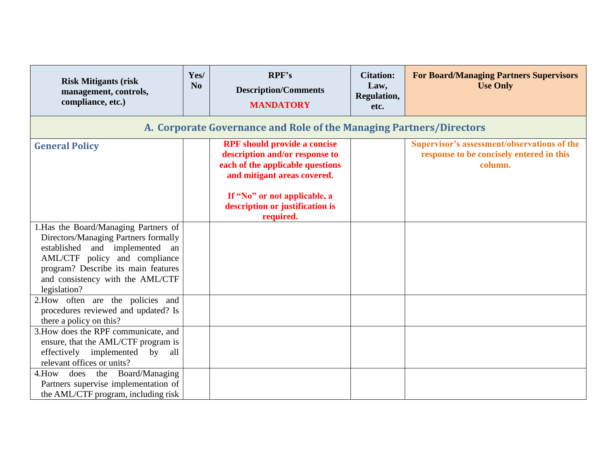| <b>Risk Mitigants (risk</b><br>management, controls,<br>compliance, etc.)                                                                                                                                                                   | Yes/<br>N <sub>0</sub>                                              | RPF's<br><b>Description/Comments</b><br><b>MANDATORY</b>                                                                                                                                                                 | <b>Citation:</b><br>Law,<br>Regulation,<br>etc. | <b>For Board/Managing Partners Supervisors</b><br><b>Use Only</b>                                         |  |  |  |
|---------------------------------------------------------------------------------------------------------------------------------------------------------------------------------------------------------------------------------------------|---------------------------------------------------------------------|--------------------------------------------------------------------------------------------------------------------------------------------------------------------------------------------------------------------------|-------------------------------------------------|-----------------------------------------------------------------------------------------------------------|--|--|--|
|                                                                                                                                                                                                                                             | A. Corporate Governance and Role of the Managing Partners/Directors |                                                                                                                                                                                                                          |                                                 |                                                                                                           |  |  |  |
| <b>General Policy</b>                                                                                                                                                                                                                       |                                                                     | <b>RPF</b> should provide a concise<br>description and/or response to<br>each of the applicable questions<br>and mitigant areas covered.<br>If "No" or not applicable, a<br>description or justification is<br>required. |                                                 | <b>Supervisor's assessment/observations of the</b><br>response to be concisely entered in this<br>column. |  |  |  |
| 1. Has the Board/Managing Partners of<br>Directors/Managing Partners formally<br>established and implemented an<br>AML/CTF policy and compliance<br>program? Describe its main features<br>and consistency with the AML/CTF<br>legislation? |                                                                     |                                                                                                                                                                                                                          |                                                 |                                                                                                           |  |  |  |
| 2. How often are the policies and<br>procedures reviewed and updated? Is<br>there a policy on this?                                                                                                                                         |                                                                     |                                                                                                                                                                                                                          |                                                 |                                                                                                           |  |  |  |
| 3. How does the RPF communicate, and<br>ensure, that the AML/CTF program is<br>effectively<br>implemented<br>by<br>all<br>relevant offices or units?                                                                                        |                                                                     |                                                                                                                                                                                                                          |                                                 |                                                                                                           |  |  |  |
| Board/Managing<br>4. How does the<br>Partners supervise implementation of<br>the AML/CTF program, including risk                                                                                                                            |                                                                     |                                                                                                                                                                                                                          |                                                 |                                                                                                           |  |  |  |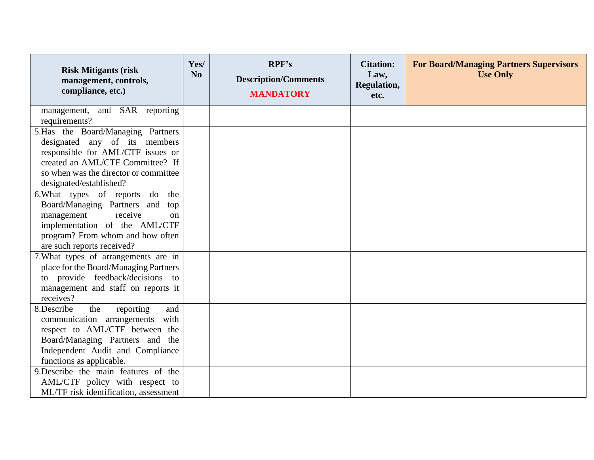| <b>Risk Mitigants (risk)</b><br>management, controls,<br>compliance, etc.)                                                                                                                                      | Yes/<br>N <sub>0</sub> | RPF's<br><b>Description/Comments</b><br><b>MANDATORY</b> | <b>Citation:</b><br>Law,<br>Regulation,<br>etc. | <b>For Board/Managing Partners Supervisors</b><br><b>Use Only</b> |
|-----------------------------------------------------------------------------------------------------------------------------------------------------------------------------------------------------------------|------------------------|----------------------------------------------------------|-------------------------------------------------|-------------------------------------------------------------------|
| management, and SAR reporting<br>requirements?                                                                                                                                                                  |                        |                                                          |                                                 |                                                                   |
| 5.Has the Board/Managing Partners<br>designated any of its members<br>responsible for AML/CTF issues or<br>created an AML/CTF Committee? If<br>so when was the director or committee<br>designated/established? |                        |                                                          |                                                 |                                                                   |
| 6. What types of reports do the<br>Board/Managing Partners and<br>top<br>receive<br>management<br>on<br>implementation of the AML/CTF<br>program? From whom and how often<br>are such reports received?         |                        |                                                          |                                                 |                                                                   |
| 7. What types of arrangements are in<br>place for the Board/Managing Partners<br>to provide feedback/decisions to<br>management and staff on reports it<br>receives?                                            |                        |                                                          |                                                 |                                                                   |
| 8.Describe<br>the<br>and<br>reporting<br>communication arrangements with<br>respect to AML/CTF between the<br>Board/Managing Partners and the<br>Independent Audit and Compliance<br>functions as applicable.   |                        |                                                          |                                                 |                                                                   |
| 9. Describe the main features of the<br>AML/CTF policy with respect to<br>ML/TF risk identification, assessment                                                                                                 |                        |                                                          |                                                 |                                                                   |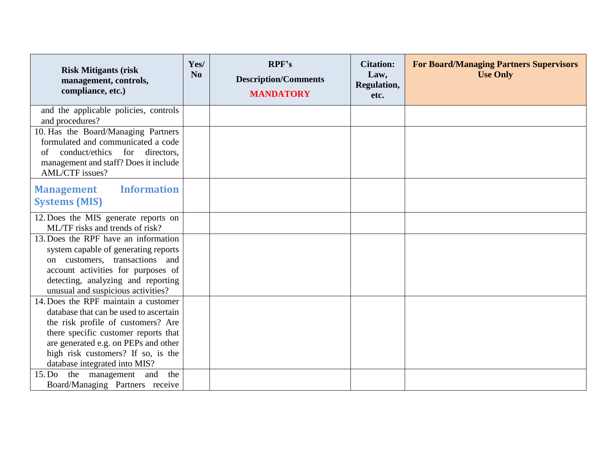| <b>Risk Mitigants (risk</b><br>management, controls,<br>compliance, etc.)                                                                                                                                                                                                   | Yes/<br>N <sub>0</sub> | RPF's<br><b>Description/Comments</b><br><b>MANDATORY</b> | <b>Citation:</b><br>Law,<br><b>Regulation,</b><br>etc. | <b>For Board/Managing Partners Supervisors</b><br><b>Use Only</b> |
|-----------------------------------------------------------------------------------------------------------------------------------------------------------------------------------------------------------------------------------------------------------------------------|------------------------|----------------------------------------------------------|--------------------------------------------------------|-------------------------------------------------------------------|
| and the applicable policies, controls<br>and procedures?                                                                                                                                                                                                                    |                        |                                                          |                                                        |                                                                   |
| 10. Has the Board/Managing Partners<br>formulated and communicated a code<br>conduct/ethics for directors,<br>of<br>management and staff? Does it include<br><b>AML/CTF</b> issues?                                                                                         |                        |                                                          |                                                        |                                                                   |
| <b>Information</b><br><b>Management</b><br><b>Systems (MIS)</b>                                                                                                                                                                                                             |                        |                                                          |                                                        |                                                                   |
| 12. Does the MIS generate reports on<br>ML/TF risks and trends of risk?                                                                                                                                                                                                     |                        |                                                          |                                                        |                                                                   |
| 13. Does the RPF have an information<br>system capable of generating reports<br>on customers, transactions and<br>account activities for purposes of<br>detecting, analyzing and reporting<br>unusual and suspicious activities?                                            |                        |                                                          |                                                        |                                                                   |
| 14. Does the RPF maintain a customer<br>database that can be used to ascertain<br>the risk profile of customers? Are<br>there specific customer reports that<br>are generated e.g. on PEPs and other<br>high risk customers? If so, is the<br>database integrated into MIS? |                        |                                                          |                                                        |                                                                   |
| the management and the<br>15. Do<br>Board/Managing Partners receive                                                                                                                                                                                                         |                        |                                                          |                                                        |                                                                   |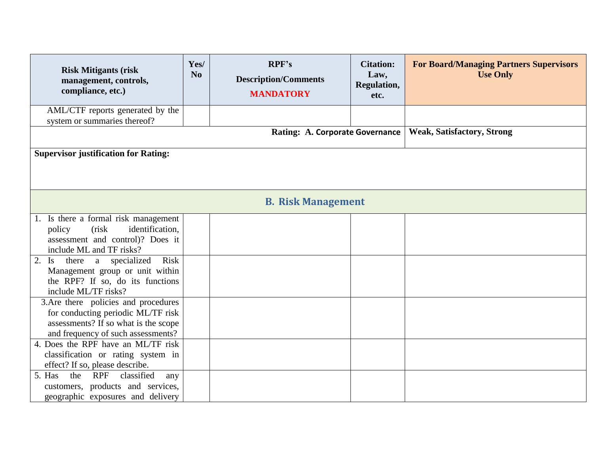| <b>Risk Mitigants (risk)</b><br>management, controls,<br>compliance, etc.)                                                                               | Yes/<br>N <sub>0</sub>                                                      | RPF's<br><b>Description/Comments</b><br><b>MANDATORY</b> | <b>Citation:</b><br>Law,<br>Regulation,<br>etc. | <b>For Board/Managing Partners Supervisors</b><br><b>Use Only</b> |  |  |  |
|----------------------------------------------------------------------------------------------------------------------------------------------------------|-----------------------------------------------------------------------------|----------------------------------------------------------|-------------------------------------------------|-------------------------------------------------------------------|--|--|--|
| AML/CTF reports generated by the<br>system or summaries thereof?                                                                                         |                                                                             |                                                          |                                                 |                                                                   |  |  |  |
|                                                                                                                                                          | <b>Weak, Satisfactory, Strong</b><br><b>Rating: A. Corporate Governance</b> |                                                          |                                                 |                                                                   |  |  |  |
| <b>Supervisor justification for Rating:</b>                                                                                                              |                                                                             |                                                          |                                                 |                                                                   |  |  |  |
|                                                                                                                                                          |                                                                             | <b>B. Risk Management</b>                                |                                                 |                                                                   |  |  |  |
| 1. Is there a formal risk management<br>identification,<br>policy<br>(risk)<br>assessment and control)? Does it<br>include ML and TF risks?              |                                                                             |                                                          |                                                 |                                                                   |  |  |  |
| Risk<br>a specialized<br>there<br>2.<br>$\mathbf{I}$ s<br>Management group or unit within<br>the RPF? If so, do its functions<br>include ML/TF risks?    |                                                                             |                                                          |                                                 |                                                                   |  |  |  |
| 3. Are there policies and procedures<br>for conducting periodic ML/TF risk<br>assessments? If so what is the scope<br>and frequency of such assessments? |                                                                             |                                                          |                                                 |                                                                   |  |  |  |
| 4. Does the RPF have an ML/TF risk<br>classification or rating system in<br>effect? If so, please describe.                                              |                                                                             |                                                          |                                                 |                                                                   |  |  |  |
| the<br><b>RPF</b><br>classified<br>5. Has<br>any<br>customers, products and services,<br>geographic exposures and delivery                               |                                                                             |                                                          |                                                 |                                                                   |  |  |  |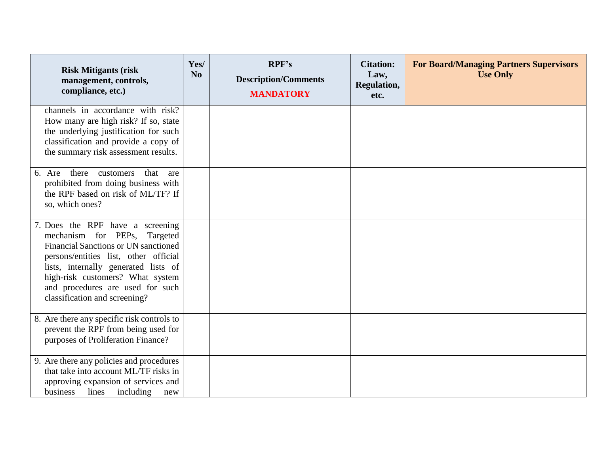| <b>Risk Mitigants (risk)</b><br>management, controls,<br>compliance, etc.)                                                                                                                                                                                                                                | Yes/<br>N <sub>0</sub> | RPF's<br><b>Description/Comments</b><br><b>MANDATORY</b> | <b>Citation:</b><br>Law,<br>Regulation,<br>etc. | <b>For Board/Managing Partners Supervisors</b><br><b>Use Only</b> |
|-----------------------------------------------------------------------------------------------------------------------------------------------------------------------------------------------------------------------------------------------------------------------------------------------------------|------------------------|----------------------------------------------------------|-------------------------------------------------|-------------------------------------------------------------------|
| channels in accordance with risk?<br>How many are high risk? If so, state<br>the underlying justification for such<br>classification and provide a copy of<br>the summary risk assessment results.                                                                                                        |                        |                                                          |                                                 |                                                                   |
| 6. Are there customers<br>that are<br>prohibited from doing business with<br>the RPF based on risk of ML/TF? If<br>so, which ones?                                                                                                                                                                        |                        |                                                          |                                                 |                                                                   |
| 7. Does the RPF have a screening<br>mechanism for PEPs, Targeted<br><b>Financial Sanctions or UN sanctioned</b><br>persons/entities list, other official<br>lists, internally generated lists of<br>high-risk customers? What system<br>and procedures are used for such<br>classification and screening? |                        |                                                          |                                                 |                                                                   |
| 8. Are there any specific risk controls to<br>prevent the RPF from being used for<br>purposes of Proliferation Finance?                                                                                                                                                                                   |                        |                                                          |                                                 |                                                                   |
| 9. Are there any policies and procedures<br>that take into account ML/TF risks in<br>approving expansion of services and<br>business lines<br>including<br>new                                                                                                                                            |                        |                                                          |                                                 |                                                                   |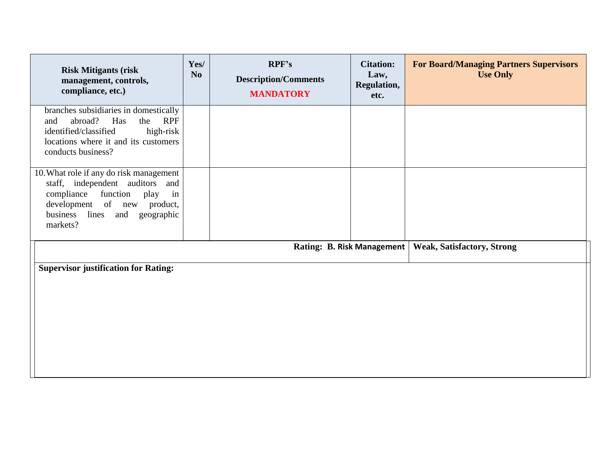| <b>Risk Mitigants (risk)</b><br>management, controls,<br>compliance, etc.)                                                                                                                        | Yes/<br>N <sub>0</sub> | RPF's<br><b>Description/Comments</b><br><b>MANDATORY</b> | <b>Citation:</b><br>Law,<br>Regulation,<br>etc. | <b>For Board/Managing Partners Supervisors</b><br><b>Use Only</b> |  |
|---------------------------------------------------------------------------------------------------------------------------------------------------------------------------------------------------|------------------------|----------------------------------------------------------|-------------------------------------------------|-------------------------------------------------------------------|--|
| branches subsidiaries in domestically<br>the RPF<br>abroad?<br>Has<br>and<br>identified/classified<br>high-risk<br>locations where it and its customers<br>conducts business?                     |                        |                                                          |                                                 |                                                                   |  |
| 10. What role if any do risk management<br>staff, independent auditors and<br>function<br>compliance<br>in<br>play<br>development of new product,<br>business lines<br>and geographic<br>markets? |                        |                                                          |                                                 |                                                                   |  |
|                                                                                                                                                                                                   |                        | Rating: B. Risk Management                               |                                                 | <b>Weak, Satisfactory, Strong</b>                                 |  |
| <b>Supervisor justification for Rating:</b>                                                                                                                                                       |                        |                                                          |                                                 |                                                                   |  |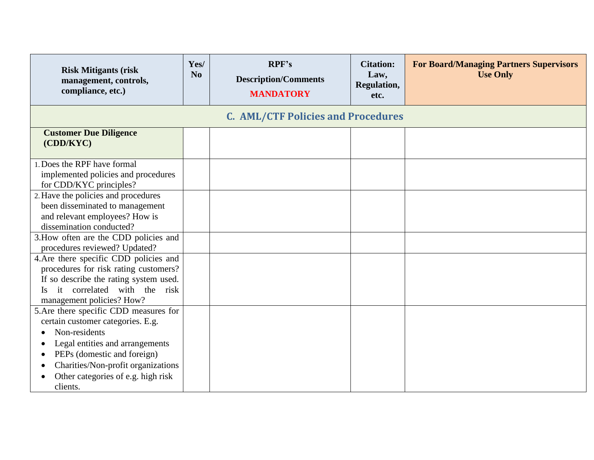| <b>Risk Mitigants (risk)</b><br>management, controls,<br>compliance, etc.)                                                                                                                                                                                          | Yes/<br>N <sub>0</sub> | RPF's<br><b>Description/Comments</b><br><b>MANDATORY</b> | <b>Citation:</b><br>Law,<br>Regulation,<br>etc. | <b>For Board/Managing Partners Supervisors</b><br><b>Use Only</b> |
|---------------------------------------------------------------------------------------------------------------------------------------------------------------------------------------------------------------------------------------------------------------------|------------------------|----------------------------------------------------------|-------------------------------------------------|-------------------------------------------------------------------|
|                                                                                                                                                                                                                                                                     |                        | <b>C. AML/CTF Policies and Procedures</b>                |                                                 |                                                                   |
| <b>Customer Due Diligence</b><br>(CDD/KYC)                                                                                                                                                                                                                          |                        |                                                          |                                                 |                                                                   |
| 1. Does the RPF have formal<br>implemented policies and procedures<br>for CDD/KYC principles?                                                                                                                                                                       |                        |                                                          |                                                 |                                                                   |
| 2. Have the policies and procedures<br>been disseminated to management<br>and relevant employees? How is<br>dissemination conducted?                                                                                                                                |                        |                                                          |                                                 |                                                                   |
| 3. How often are the CDD policies and<br>procedures reviewed? Updated?                                                                                                                                                                                              |                        |                                                          |                                                 |                                                                   |
| 4. Are there specific CDD policies and<br>procedures for risk rating customers?<br>If so describe the rating system used.<br>it correlated with the risk<br>$\overline{1}$ s<br>management policies? How?                                                           |                        |                                                          |                                                 |                                                                   |
| 5. Are there specific CDD measures for<br>certain customer categories. E.g.<br>Non-residents<br>$\bullet$<br>Legal entities and arrangements<br>PEPs (domestic and foreign)<br>Charities/Non-profit organizations<br>Other categories of e.g. high risk<br>clients. |                        |                                                          |                                                 |                                                                   |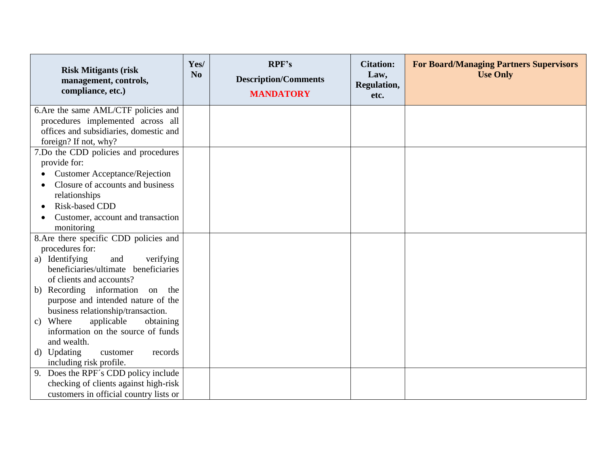| <b>Risk Mitigants (risk)</b><br>management, controls,<br>compliance, etc.) | Yes/<br>N <sub>0</sub> | RPF's<br><b>Description/Comments</b><br><b>MANDATORY</b> | <b>Citation:</b><br>Law,<br>Regulation,<br>etc. | <b>For Board/Managing Partners Supervisors</b><br><b>Use Only</b> |
|----------------------------------------------------------------------------|------------------------|----------------------------------------------------------|-------------------------------------------------|-------------------------------------------------------------------|
| 6. Are the same AML/CTF policies and                                       |                        |                                                          |                                                 |                                                                   |
| procedures implemented across all                                          |                        |                                                          |                                                 |                                                                   |
| offices and subsidiaries, domestic and                                     |                        |                                                          |                                                 |                                                                   |
| foreign? If not, why?                                                      |                        |                                                          |                                                 |                                                                   |
| 7.Do the CDD policies and procedures                                       |                        |                                                          |                                                 |                                                                   |
| provide for:                                                               |                        |                                                          |                                                 |                                                                   |
| <b>Customer Acceptance/Rejection</b>                                       |                        |                                                          |                                                 |                                                                   |
| Closure of accounts and business                                           |                        |                                                          |                                                 |                                                                   |
| relationships                                                              |                        |                                                          |                                                 |                                                                   |
| Risk-based CDD                                                             |                        |                                                          |                                                 |                                                                   |
| Customer, account and transaction                                          |                        |                                                          |                                                 |                                                                   |
| monitoring                                                                 |                        |                                                          |                                                 |                                                                   |
| 8. Are there specific CDD policies and                                     |                        |                                                          |                                                 |                                                                   |
| procedures for:<br>and<br>a) Identifying                                   |                        |                                                          |                                                 |                                                                   |
| verifying<br>beneficiaries/ultimate beneficiaries                          |                        |                                                          |                                                 |                                                                   |
| of clients and accounts?                                                   |                        |                                                          |                                                 |                                                                   |
| b) Recording information on the                                            |                        |                                                          |                                                 |                                                                   |
| purpose and intended nature of the                                         |                        |                                                          |                                                 |                                                                   |
| business relationship/transaction.                                         |                        |                                                          |                                                 |                                                                   |
| applicable<br>obtaining<br>c) Where                                        |                        |                                                          |                                                 |                                                                   |
| information on the source of funds                                         |                        |                                                          |                                                 |                                                                   |
| and wealth.                                                                |                        |                                                          |                                                 |                                                                   |
| d) Updating<br>customer<br>records                                         |                        |                                                          |                                                 |                                                                   |
| including risk profile.                                                    |                        |                                                          |                                                 |                                                                   |
| 9. Does the RPF's CDD policy include                                       |                        |                                                          |                                                 |                                                                   |
| checking of clients against high-risk                                      |                        |                                                          |                                                 |                                                                   |
| customers in official country lists or                                     |                        |                                                          |                                                 |                                                                   |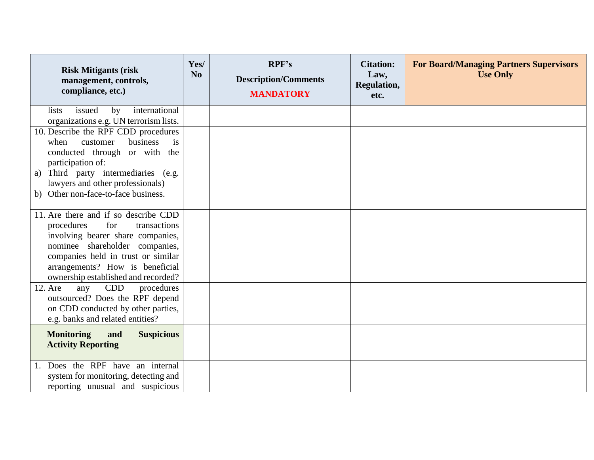| <b>Risk Mitigants (risk)</b><br>management, controls,<br>compliance, etc.)                                                                                                                                                                                                                              | Yes/<br>N <sub>o</sub> | RPF's<br><b>Description/Comments</b><br><b>MANDATORY</b> | <b>Citation:</b><br>Law,<br>Regulation,<br>etc. | <b>For Board/Managing Partners Supervisors</b><br><b>Use Only</b> |
|---------------------------------------------------------------------------------------------------------------------------------------------------------------------------------------------------------------------------------------------------------------------------------------------------------|------------------------|----------------------------------------------------------|-------------------------------------------------|-------------------------------------------------------------------|
| issued<br>international<br><i>lists</i><br>by<br>organizations e.g. UN terrorism lists.                                                                                                                                                                                                                 |                        |                                                          |                                                 |                                                                   |
| 10. Describe the RPF CDD procedures<br>business<br>customer<br>when<br>is<br>conducted through or with the<br>participation of:<br>Third party intermediaries (e.g.<br>a)<br>lawyers and other professionals)<br>b) Other non-face-to-face business.                                                    |                        |                                                          |                                                 |                                                                   |
| 11. Are there and if so describe CDD<br>for<br>transactions<br>procedures<br>involving bearer share companies,<br>nominee shareholder companies,<br>companies held in trust or similar<br>arrangements? How is beneficial<br>ownership established and recorded?<br>CDD<br>procedures<br>12. Are<br>any |                        |                                                          |                                                 |                                                                   |
| outsourced? Does the RPF depend<br>on CDD conducted by other parties,<br>e.g. banks and related entities?                                                                                                                                                                                               |                        |                                                          |                                                 |                                                                   |
| <b>Monitoring</b><br><b>Suspicious</b><br>and<br><b>Activity Reporting</b>                                                                                                                                                                                                                              |                        |                                                          |                                                 |                                                                   |
| 1. Does the RPF have an internal<br>system for monitoring, detecting and<br>reporting unusual and suspicious                                                                                                                                                                                            |                        |                                                          |                                                 |                                                                   |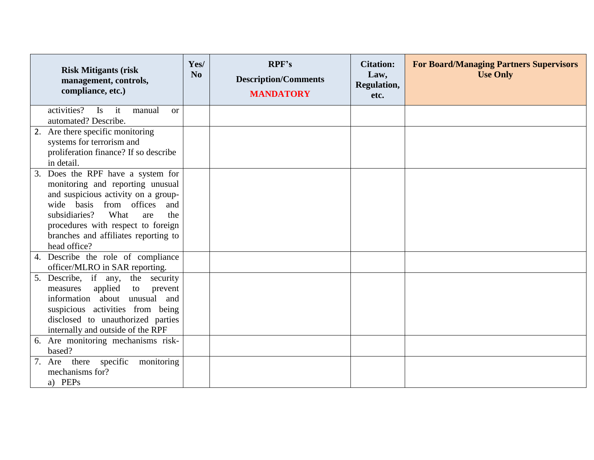| <b>Risk Mitigants (risk</b><br>management, controls,<br>compliance, etc.)                                                                                                                                                                                                           | Yes/<br>N <sub>0</sub> | RPF's<br><b>Description/Comments</b><br><b>MANDATORY</b> | <b>Citation:</b><br>Law,<br>Regulation,<br>etc. | <b>For Board/Managing Partners Supervisors</b><br><b>Use Only</b> |
|-------------------------------------------------------------------------------------------------------------------------------------------------------------------------------------------------------------------------------------------------------------------------------------|------------------------|----------------------------------------------------------|-------------------------------------------------|-------------------------------------------------------------------|
| activities?<br>$\mathbf{I}$ s<br>it<br>manual<br><sub>or</sub><br>automated? Describe.                                                                                                                                                                                              |                        |                                                          |                                                 |                                                                   |
| Are there specific monitoring<br>2.<br>systems for terrorism and<br>proliferation finance? If so describe<br>in detail.                                                                                                                                                             |                        |                                                          |                                                 |                                                                   |
| 3. Does the RPF have a system for<br>monitoring and reporting unusual<br>and suspicious activity on a group-<br>wide basis from offices<br>and<br>subsidiaries?<br>What<br>the<br>are<br>procedures with respect to foreign<br>branches and affiliates reporting to<br>head office? |                        |                                                          |                                                 |                                                                   |
| 4. Describe the role of compliance<br>officer/MLRO in SAR reporting.                                                                                                                                                                                                                |                        |                                                          |                                                 |                                                                   |
| Describe, if any, the security<br>5.<br>applied<br>prevent<br>measures<br>to<br>information about unusual and<br>suspicious activities from being<br>disclosed to unauthorized parties<br>internally and outside of the RPF                                                         |                        |                                                          |                                                 |                                                                   |
| Are monitoring mechanisms risk-<br>6.<br>based?                                                                                                                                                                                                                                     |                        |                                                          |                                                 |                                                                   |
| 7. Are there specific<br>monitoring<br>mechanisms for?<br>a) PEPs                                                                                                                                                                                                                   |                        |                                                          |                                                 |                                                                   |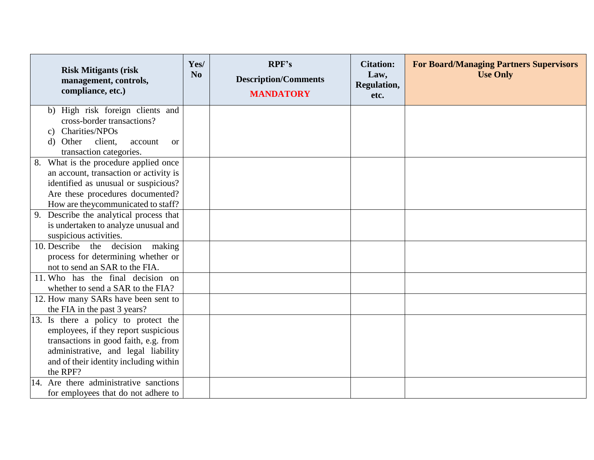| <b>Risk Mitigants (risk)</b><br>management, controls,<br>compliance, etc.)    | Yes/<br>N <sub>o</sub> | RPF's<br><b>Description/Comments</b><br><b>MANDATORY</b> | <b>Citation:</b><br>Law,<br><b>Regulation,</b><br>etc. | <b>For Board/Managing Partners Supervisors</b><br><b>Use Only</b> |
|-------------------------------------------------------------------------------|------------------------|----------------------------------------------------------|--------------------------------------------------------|-------------------------------------------------------------------|
| b) High risk foreign clients and                                              |                        |                                                          |                                                        |                                                                   |
| cross-border transactions?                                                    |                        |                                                          |                                                        |                                                                   |
| c) Charities/NPOs                                                             |                        |                                                          |                                                        |                                                                   |
| client,<br>Other<br>d)<br>account<br><sub>or</sub><br>transaction categories. |                        |                                                          |                                                        |                                                                   |
| 8. What is the procedure applied once                                         |                        |                                                          |                                                        |                                                                   |
| an account, transaction or activity is                                        |                        |                                                          |                                                        |                                                                   |
| identified as unusual or suspicious?                                          |                        |                                                          |                                                        |                                                                   |
| Are these procedures documented?                                              |                        |                                                          |                                                        |                                                                   |
| How are they communicated to staff?                                           |                        |                                                          |                                                        |                                                                   |
| Describe the analytical process that<br>9.                                    |                        |                                                          |                                                        |                                                                   |
| is undertaken to analyze unusual and                                          |                        |                                                          |                                                        |                                                                   |
| suspicious activities.                                                        |                        |                                                          |                                                        |                                                                   |
| 10. Describe the decision<br>making                                           |                        |                                                          |                                                        |                                                                   |
| process for determining whether or                                            |                        |                                                          |                                                        |                                                                   |
| not to send an SAR to the FIA.                                                |                        |                                                          |                                                        |                                                                   |
| 11. Who has the final decision on                                             |                        |                                                          |                                                        |                                                                   |
| whether to send a SAR to the FIA?                                             |                        |                                                          |                                                        |                                                                   |
| 12. How many SARs have been sent to                                           |                        |                                                          |                                                        |                                                                   |
| the FIA in the past 3 years?                                                  |                        |                                                          |                                                        |                                                                   |
| 13. Is there a policy to protect the                                          |                        |                                                          |                                                        |                                                                   |
| employees, if they report suspicious                                          |                        |                                                          |                                                        |                                                                   |
| transactions in good faith, e.g. from                                         |                        |                                                          |                                                        |                                                                   |
| administrative, and legal liability                                           |                        |                                                          |                                                        |                                                                   |
| and of their identity including within                                        |                        |                                                          |                                                        |                                                                   |
| the RPF?                                                                      |                        |                                                          |                                                        |                                                                   |
| 14. Are there administrative sanctions                                        |                        |                                                          |                                                        |                                                                   |
| for employees that do not adhere to                                           |                        |                                                          |                                                        |                                                                   |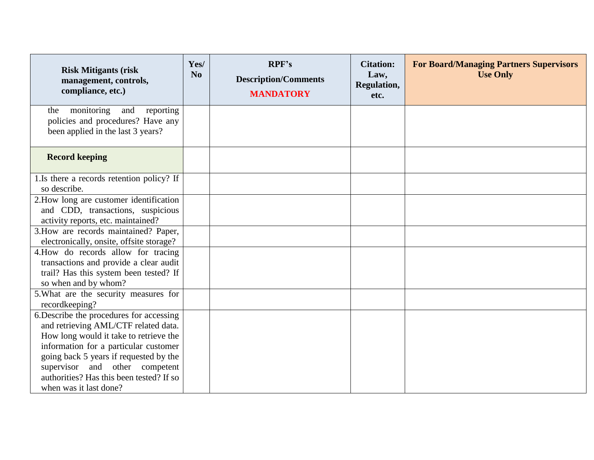| <b>Risk Mitigants (risk)</b><br>management, controls,<br>compliance, etc.)                                                                                                                                                                                                                                            | Yes/<br>N <sub>o</sub> | RPF's<br><b>Description/Comments</b><br><b>MANDATORY</b> | <b>Citation:</b><br>Law,<br>Regulation,<br>etc. | <b>For Board/Managing Partners Supervisors</b><br><b>Use Only</b> |
|-----------------------------------------------------------------------------------------------------------------------------------------------------------------------------------------------------------------------------------------------------------------------------------------------------------------------|------------------------|----------------------------------------------------------|-------------------------------------------------|-------------------------------------------------------------------|
| monitoring<br>and<br>reporting<br>the<br>policies and procedures? Have any<br>been applied in the last 3 years?                                                                                                                                                                                                       |                        |                                                          |                                                 |                                                                   |
| <b>Record keeping</b>                                                                                                                                                                                                                                                                                                 |                        |                                                          |                                                 |                                                                   |
| 1.Is there a records retention policy? If<br>so describe.                                                                                                                                                                                                                                                             |                        |                                                          |                                                 |                                                                   |
| 2. How long are customer identification<br>and CDD, transactions, suspicious<br>activity reports, etc. maintained?                                                                                                                                                                                                    |                        |                                                          |                                                 |                                                                   |
| 3. How are records maintained? Paper,<br>electronically, onsite, offsite storage?                                                                                                                                                                                                                                     |                        |                                                          |                                                 |                                                                   |
| 4. How do records allow for tracing<br>transactions and provide a clear audit<br>trail? Has this system been tested? If<br>so when and by whom?                                                                                                                                                                       |                        |                                                          |                                                 |                                                                   |
| 5. What are the security measures for<br>recordkeeping?                                                                                                                                                                                                                                                               |                        |                                                          |                                                 |                                                                   |
| 6. Describe the procedures for accessing<br>and retrieving AML/CTF related data.<br>How long would it take to retrieve the<br>information for a particular customer<br>going back 5 years if requested by the<br>supervisor and other competent<br>authorities? Has this been tested? If so<br>when was it last done? |                        |                                                          |                                                 |                                                                   |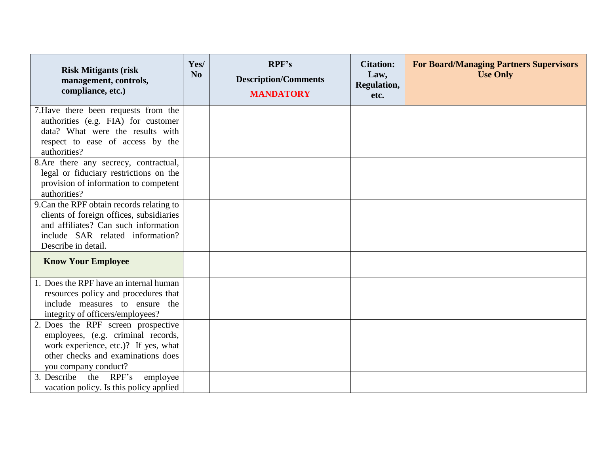| <b>Risk Mitigants (risk</b><br>management, controls,<br>compliance, etc.)                                                                                                                | Yes/<br>N <sub>o</sub> | RPF's<br><b>Description/Comments</b><br><b>MANDATORY</b> | <b>Citation:</b><br>Law,<br><b>Regulation,</b><br>etc. | <b>For Board/Managing Partners Supervisors</b><br><b>Use Only</b> |
|------------------------------------------------------------------------------------------------------------------------------------------------------------------------------------------|------------------------|----------------------------------------------------------|--------------------------------------------------------|-------------------------------------------------------------------|
| 7. Have there been requests from the<br>authorities (e.g. FIA) for customer<br>data? What were the results with<br>respect to ease of access by the<br>authorities?                      |                        |                                                          |                                                        |                                                                   |
| 8. Are there any secrecy, contractual,<br>legal or fiduciary restrictions on the<br>provision of information to competent<br>authorities?                                                |                        |                                                          |                                                        |                                                                   |
| 9. Can the RPF obtain records relating to<br>clients of foreign offices, subsidiaries<br>and affiliates? Can such information<br>include SAR related information?<br>Describe in detail. |                        |                                                          |                                                        |                                                                   |
| <b>Know Your Employee</b>                                                                                                                                                                |                        |                                                          |                                                        |                                                                   |
| 1. Does the RPF have an internal human<br>resources policy and procedures that<br>include measures to ensure the<br>integrity of officers/employees?                                     |                        |                                                          |                                                        |                                                                   |
| 2. Does the RPF screen prospective<br>employees, (e.g. criminal records,<br>work experience, etc.)? If yes, what<br>other checks and examinations does<br>you company conduct?           |                        |                                                          |                                                        |                                                                   |
| 3. Describe the RPF's<br>employee<br>vacation policy. Is this policy applied                                                                                                             |                        |                                                          |                                                        |                                                                   |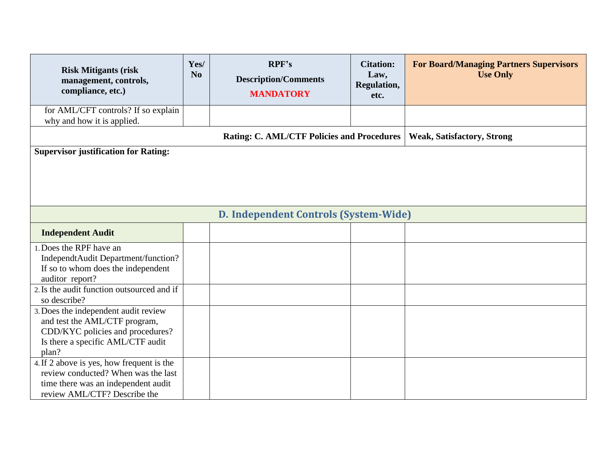| <b>Risk Mitigants (risk</b><br>management, controls,<br>compliance, etc.)                                                                                             | Yes/<br>N <sub>0</sub> | RPF's<br><b>Description/Comments</b><br><b>MANDATORY</b> | <b>Citation:</b><br>Law,<br>Regulation,<br>etc. | <b>For Board/Managing Partners Supervisors</b><br><b>Use Only</b> |  |  |
|-----------------------------------------------------------------------------------------------------------------------------------------------------------------------|------------------------|----------------------------------------------------------|-------------------------------------------------|-------------------------------------------------------------------|--|--|
| for AML/CFT controls? If so explain<br>why and how it is applied.                                                                                                     |                        |                                                          |                                                 |                                                                   |  |  |
| <b>Rating: C. AML/CTF Policies and Procedures</b><br><b>Weak, Satisfactory, Strong</b>                                                                                |                        |                                                          |                                                 |                                                                   |  |  |
| <b>Supervisor justification for Rating:</b>                                                                                                                           |                        |                                                          |                                                 |                                                                   |  |  |
|                                                                                                                                                                       |                        | D. Independent Controls (System-Wide)                    |                                                 |                                                                   |  |  |
| <b>Independent Audit</b>                                                                                                                                              |                        |                                                          |                                                 |                                                                   |  |  |
| 1. Does the RPF have an<br>IndependtAudit Department/function?<br>If so to whom does the independent<br>auditor report?<br>2. Is the audit function outsourced and if |                        |                                                          |                                                 |                                                                   |  |  |
| so describe?<br>3. Does the independent audit review<br>and test the AML/CTF program,                                                                                 |                        |                                                          |                                                 |                                                                   |  |  |
| CDD/KYC policies and procedures?<br>Is there a specific AML/CTF audit<br>plan?                                                                                        |                        |                                                          |                                                 |                                                                   |  |  |
| 4. If 2 above is yes, how frequent is the<br>review conducted? When was the last<br>time there was an independent audit<br>review AML/CTF? Describe the               |                        |                                                          |                                                 |                                                                   |  |  |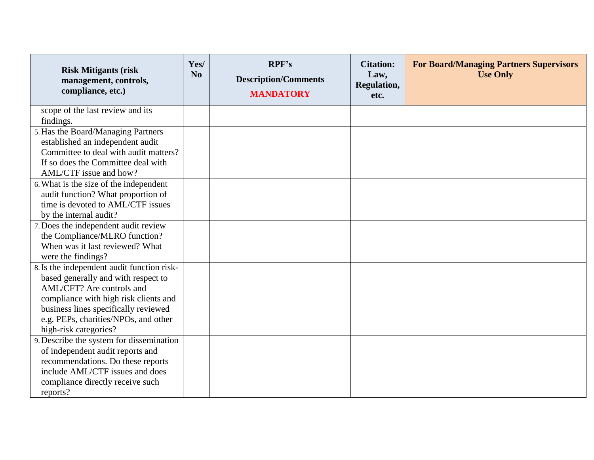| <b>Risk Mitigants (risk)</b><br>management, controls,<br>compliance, etc.)                                                                                                                                                                                       | Yes/<br>N <sub>0</sub> | RPF's<br><b>Description/Comments</b><br><b>MANDATORY</b> | <b>Citation:</b><br>Law,<br>Regulation,<br>etc. | <b>For Board/Managing Partners Supervisors</b><br><b>Use Only</b> |
|------------------------------------------------------------------------------------------------------------------------------------------------------------------------------------------------------------------------------------------------------------------|------------------------|----------------------------------------------------------|-------------------------------------------------|-------------------------------------------------------------------|
| scope of the last review and its<br>findings.                                                                                                                                                                                                                    |                        |                                                          |                                                 |                                                                   |
| 5. Has the Board/Managing Partners<br>established an independent audit<br>Committee to deal with audit matters?<br>If so does the Committee deal with<br>AML/CTF issue and how?                                                                                  |                        |                                                          |                                                 |                                                                   |
| 6. What is the size of the independent<br>audit function? What proportion of<br>time is devoted to AML/CTF issues<br>by the internal audit?                                                                                                                      |                        |                                                          |                                                 |                                                                   |
| 7. Does the independent audit review<br>the Compliance/MLRO function?<br>When was it last reviewed? What<br>were the findings?                                                                                                                                   |                        |                                                          |                                                 |                                                                   |
| 8. Is the independent audit function risk-<br>based generally and with respect to<br>AML/CFT? Are controls and<br>compliance with high risk clients and<br>business lines specifically reviewed<br>e.g. PEPs, charities/NPOs, and other<br>high-risk categories? |                        |                                                          |                                                 |                                                                   |
| 9. Describe the system for dissemination<br>of independent audit reports and<br>recommendations. Do these reports<br>include AML/CTF issues and does<br>compliance directly receive such<br>reports?                                                             |                        |                                                          |                                                 |                                                                   |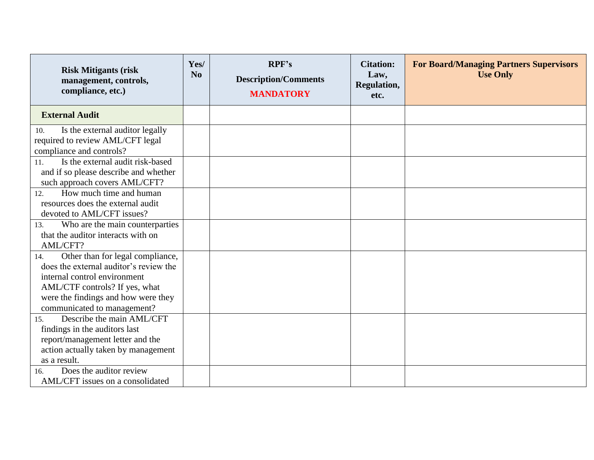| <b>Risk Mitigants (risk</b><br>management, controls,<br>compliance, etc.)                                                                                                                                                 | Yes/<br>N <sub>0</sub> | RPF's<br><b>Description/Comments</b><br><b>MANDATORY</b> | <b>Citation:</b><br>Law,<br><b>Regulation,</b><br>etc. | <b>For Board/Managing Partners Supervisors</b><br><b>Use Only</b> |
|---------------------------------------------------------------------------------------------------------------------------------------------------------------------------------------------------------------------------|------------------------|----------------------------------------------------------|--------------------------------------------------------|-------------------------------------------------------------------|
| <b>External Audit</b>                                                                                                                                                                                                     |                        |                                                          |                                                        |                                                                   |
| Is the external auditor legally<br>10.<br>required to review AML/CFT legal<br>compliance and controls?                                                                                                                    |                        |                                                          |                                                        |                                                                   |
| Is the external audit risk-based<br>11.<br>and if so please describe and whether<br>such approach covers AML/CFT?                                                                                                         |                        |                                                          |                                                        |                                                                   |
| How much time and human<br>12.<br>resources does the external audit<br>devoted to AML/CFT issues?                                                                                                                         |                        |                                                          |                                                        |                                                                   |
| Who are the main counterparties<br>13.<br>that the auditor interacts with on<br>AML/CFT?                                                                                                                                  |                        |                                                          |                                                        |                                                                   |
| Other than for legal compliance,<br>14.<br>does the external auditor's review the<br>internal control environment<br>AML/CTF controls? If yes, what<br>were the findings and how were they<br>communicated to management? |                        |                                                          |                                                        |                                                                   |
| Describe the main AML/CFT<br>15.<br>findings in the auditors last<br>report/management letter and the<br>action actually taken by management<br>as a result.                                                              |                        |                                                          |                                                        |                                                                   |
| Does the auditor review<br>16.<br>AML/CFT issues on a consolidated                                                                                                                                                        |                        |                                                          |                                                        |                                                                   |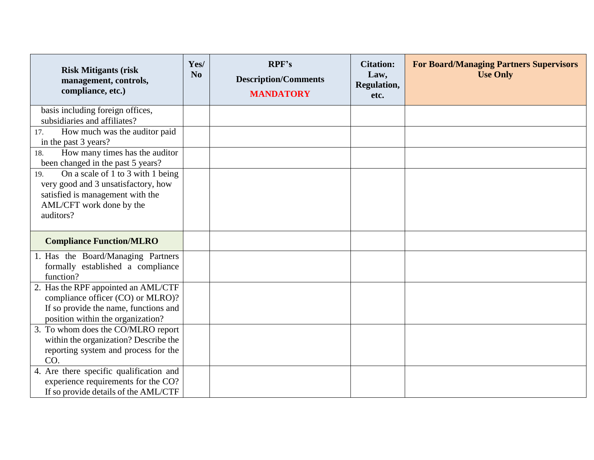| <b>Risk Mitigants (risk)</b><br>management, controls,<br>compliance, etc.)                                                                                   | Yes/<br>N <sub>0</sub> | RPF's<br><b>Description/Comments</b><br><b>MANDATORY</b> | <b>Citation:</b><br>Law,<br>Regulation,<br>etc. | <b>For Board/Managing Partners Supervisors</b><br><b>Use Only</b> |
|--------------------------------------------------------------------------------------------------------------------------------------------------------------|------------------------|----------------------------------------------------------|-------------------------------------------------|-------------------------------------------------------------------|
| basis including foreign offices,<br>subsidiaries and affiliates?                                                                                             |                        |                                                          |                                                 |                                                                   |
| How much was the auditor paid<br>17.<br>in the past 3 years?                                                                                                 |                        |                                                          |                                                 |                                                                   |
| How many times has the auditor<br>18.<br>been changed in the past 5 years?                                                                                   |                        |                                                          |                                                 |                                                                   |
| On a scale of 1 to 3 with 1 being<br>19.<br>very good and 3 unsatisfactory, how<br>satisfied is management with the<br>AML/CFT work done by the<br>auditors? |                        |                                                          |                                                 |                                                                   |
| <b>Compliance Function/MLRO</b>                                                                                                                              |                        |                                                          |                                                 |                                                                   |
| 1. Has the Board/Managing Partners<br>formally established a compliance<br>function?                                                                         |                        |                                                          |                                                 |                                                                   |
| 2. Has the RPF appointed an AML/CTF<br>compliance officer (CO) or MLRO)?<br>If so provide the name, functions and<br>position within the organization?       |                        |                                                          |                                                 |                                                                   |
| 3. To whom does the CO/MLRO report<br>within the organization? Describe the<br>reporting system and process for the<br>CO.                                   |                        |                                                          |                                                 |                                                                   |
| 4. Are there specific qualification and<br>experience requirements for the CO?<br>If so provide details of the AML/CTF                                       |                        |                                                          |                                                 |                                                                   |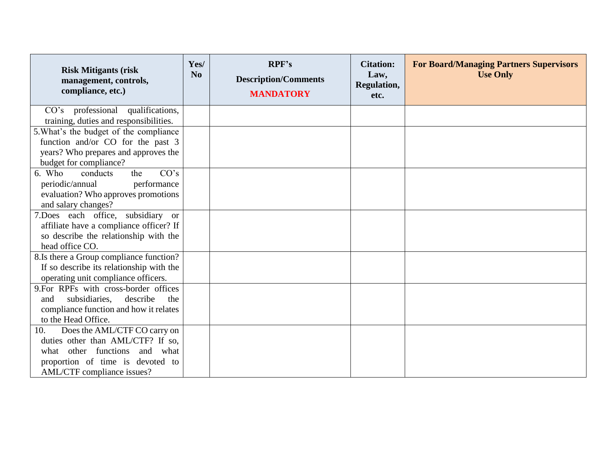| <b>Risk Mitigants (risk)</b><br>management, controls,<br>compliance, etc.)                                                                                                  | Yes/<br>N <sub>0</sub> | RPF's<br><b>Description/Comments</b><br><b>MANDATORY</b> | <b>Citation:</b><br>Law,<br>Regulation,<br>etc. | <b>For Board/Managing Partners Supervisors</b><br><b>Use Only</b> |
|-----------------------------------------------------------------------------------------------------------------------------------------------------------------------------|------------------------|----------------------------------------------------------|-------------------------------------------------|-------------------------------------------------------------------|
| CO's professional qualifications,<br>training, duties and responsibilities.                                                                                                 |                        |                                                          |                                                 |                                                                   |
| 5. What's the budget of the compliance<br>function and/or CO for the past 3<br>years? Who prepares and approves the<br>budget for compliance?                               |                        |                                                          |                                                 |                                                                   |
| CO's<br>6. Who<br>conducts<br>the<br>performance<br>periodic/annual<br>evaluation? Who approves promotions<br>and salary changes?                                           |                        |                                                          |                                                 |                                                                   |
| 7.Does each office, subsidiary or<br>affiliate have a compliance officer? If<br>so describe the relationship with the<br>head office CO.                                    |                        |                                                          |                                                 |                                                                   |
| 8.Is there a Group compliance function?<br>If so describe its relationship with the<br>operating unit compliance officers.                                                  |                        |                                                          |                                                 |                                                                   |
| 9.For RPFs with cross-border offices<br>subsidiaries,<br>describe<br>the<br>and<br>compliance function and how it relates<br>to the Head Office.                            |                        |                                                          |                                                 |                                                                   |
| Does the AML/CTF CO carry on<br>10.<br>duties other than AML/CTF? If so,<br>what other functions and what<br>proportion of time is devoted to<br>AML/CTF compliance issues? |                        |                                                          |                                                 |                                                                   |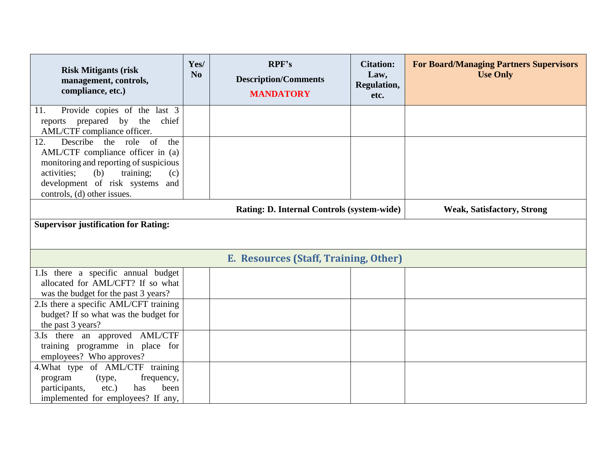| <b>Risk Mitigants (risk)</b><br>management, controls,<br>compliance, etc.)                                                                                                                                                       | Yes/<br>N <sub>0</sub> | RPF's<br><b>Description/Comments</b><br><b>MANDATORY</b> | <b>Citation:</b><br>Law,<br>Regulation,<br>etc. | <b>For Board/Managing Partners Supervisors</b><br><b>Use Only</b> |  |  |
|----------------------------------------------------------------------------------------------------------------------------------------------------------------------------------------------------------------------------------|------------------------|----------------------------------------------------------|-------------------------------------------------|-------------------------------------------------------------------|--|--|
| Provide copies of the last 3<br>11.<br>reports prepared by the<br>chief<br>AML/CTF compliance officer.                                                                                                                           |                        |                                                          |                                                 |                                                                   |  |  |
| Describe the role of<br>the<br>12.<br>AML/CTF compliance officer in (a)<br>monitoring and reporting of suspicious<br>activities:<br>(b)<br>training;<br>(c)<br>development of risk systems<br>and<br>controls, (d) other issues. |                        |                                                          |                                                 |                                                                   |  |  |
|                                                                                                                                                                                                                                  |                        | Rating: D. Internal Controls (system-wide)               |                                                 | <b>Weak, Satisfactory, Strong</b>                                 |  |  |
| <b>Supervisor justification for Rating:</b>                                                                                                                                                                                      |                        |                                                          |                                                 |                                                                   |  |  |
|                                                                                                                                                                                                                                  |                        | E. Resources (Staff, Training, Other)                    |                                                 |                                                                   |  |  |
| 1.Is there a specific annual budget<br>allocated for AML/CFT? If so what<br>was the budget for the past 3 years?                                                                                                                 |                        |                                                          |                                                 |                                                                   |  |  |
| 2.Is there a specific AML/CFT training<br>budget? If so what was the budget for<br>the past 3 years?                                                                                                                             |                        |                                                          |                                                 |                                                                   |  |  |
| 3.Is there an approved AML/CTF<br>training programme in place for<br>employees? Who approves?                                                                                                                                    |                        |                                                          |                                                 |                                                                   |  |  |
| 4. What type of AML/CTF training<br>program<br>(type,<br>frequency,<br>participants,<br>$etc.$ )<br>been<br>has<br>implemented for employees? If any,                                                                            |                        |                                                          |                                                 |                                                                   |  |  |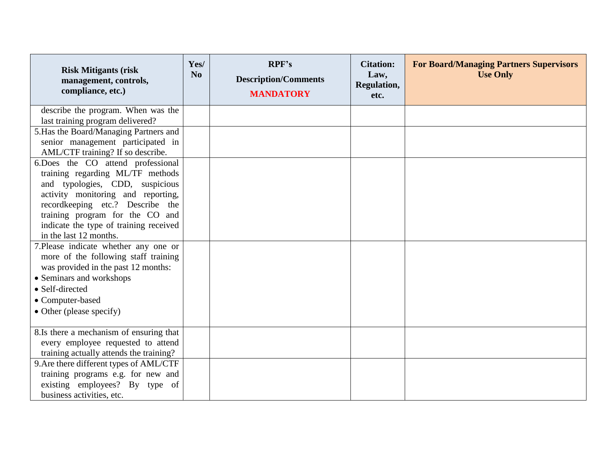| <b>Risk Mitigants (risk)</b><br>management, controls,<br>compliance, etc.)                                                                                                                                                                                                                | Yes/<br>N <sub>o</sub> | RPF's<br><b>Description/Comments</b><br><b>MANDATORY</b> | <b>Citation:</b><br>Law,<br>Regulation,<br>etc. | <b>For Board/Managing Partners Supervisors</b><br><b>Use Only</b> |
|-------------------------------------------------------------------------------------------------------------------------------------------------------------------------------------------------------------------------------------------------------------------------------------------|------------------------|----------------------------------------------------------|-------------------------------------------------|-------------------------------------------------------------------|
| describe the program. When was the<br>last training program delivered?                                                                                                                                                                                                                    |                        |                                                          |                                                 |                                                                   |
| 5. Has the Board/Managing Partners and<br>senior management participated in<br>AML/CTF training? If so describe.                                                                                                                                                                          |                        |                                                          |                                                 |                                                                   |
| 6.Does the CO attend professional<br>training regarding ML/TF methods<br>and typologies, CDD, suspicious<br>activity monitoring and reporting,<br>recordkeeping etc.? Describe the<br>training program for the CO and<br>indicate the type of training received<br>in the last 12 months. |                        |                                                          |                                                 |                                                                   |
| 7. Please indicate whether any one or<br>more of the following staff training<br>was provided in the past 12 months:<br>• Seminars and workshops<br>• Self-directed<br>• Computer-based<br>• Other (please specify)                                                                       |                        |                                                          |                                                 |                                                                   |
| 8.Is there a mechanism of ensuring that<br>every employee requested to attend<br>training actually attends the training?                                                                                                                                                                  |                        |                                                          |                                                 |                                                                   |
| 9. Are there different types of AML/CTF<br>training programs e.g. for new and<br>existing employees? By type of<br>business activities, etc.                                                                                                                                              |                        |                                                          |                                                 |                                                                   |